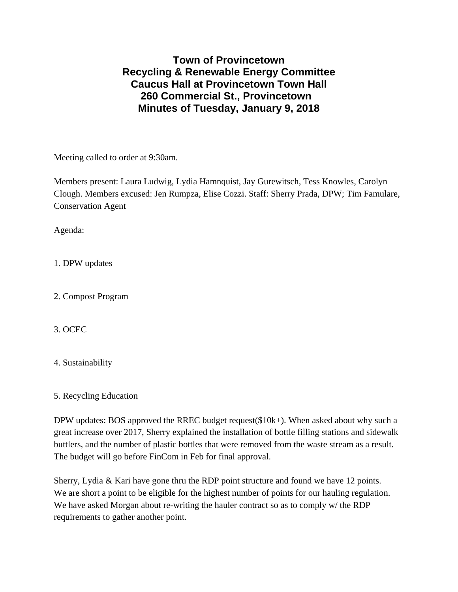## **Town of Provincetown Recycling & Renewable Energy Committee Caucus Hall at Provincetown Town Hall 260 Commercial St., Provincetown Minutes of Tuesday, January 9, 2018**

Meeting called to order at 9:30am.

Members present: Laura Ludwig, Lydia Hamnquist, Jay Gurewitsch, Tess Knowles, Carolyn Clough. Members excused: Jen Rumpza, Elise Cozzi. Staff: Sherry Prada, DPW; Tim Famulare, Conservation Agent

Agenda:

1. DPW updates

2. Compost Program

3. OCEC

4. Sustainability

5. Recycling Education

DPW updates: BOS approved the RREC budget request(\$10k+). When asked about why such a great increase over 2017, Sherry explained the installation of bottle filling stations and sidewalk buttlers, and the number of plastic bottles that were removed from the waste stream as a result. The budget will go before FinCom in Feb for final approval.

Sherry, Lydia & Kari have gone thru the RDP point structure and found we have 12 points. We are short a point to be eligible for the highest number of points for our hauling regulation. We have asked Morgan about re-writing the hauler contract so as to comply w/ the RDP requirements to gather another point.